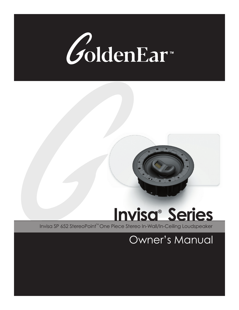

# **Invisa® Series**

Invisa SP 652 StereoPoint<sup>™</sup> One Piece Stereo In-Wall/In-Ceiling Loudspeaker

# Owner's Manual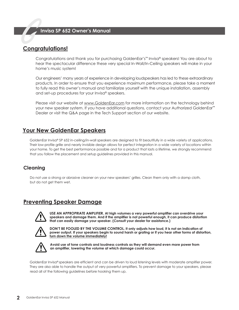# **Congratulations!**

Congratulations and thank you for purchasing GoldenEar's™ Invisa® speakers! You are about to hear the spectacular difference these very special In-Wall/In-Ceiling speakers will make in your home's music system!

Our engineers' many years of experience in developing loudspeakers has led to these extraordinary products. In order to ensure that you experience maximum performance, please take a moment to fully read this owner's manual and familiarize yourself with the unique installation, assembly and set-up procedures for your Invisa® speakers.

Please visit our website at www.GoldenEar.com for more information on the technology behind your new speaker system. If you have additional questions, contact your Authorized GoldenEar™ Dealer or visit the Q&A page in the Tech Support section of our website.

# **Your New GoldenEar Speakers**

GoldenEar Invisa® SP 652 in-ceiling/in-wall speakers are designed to fit beautifully in a wide variety of applications. Their low-profile grille and nearly invisible design allows for perfect integration in a wide variety of locations within your home. To get the best performance possible and for a product that lasts a lifetime, we strongly recommend that you follow the placement and setup guidelines provided in this manual.

#### **Cleaning**

Do not use a strong or abrasive cleaner on your new speakers' grilles. Clean them only with a damp cloth, but do not get them wet.

# **Preventing Speaker Damage**



**USE AN APPROPRIATE AMPLIFIER. At high volumes a very powerful amplifier can overdrive your speakers and damage them. And if the amplifier is not powerful enough, it can produce distortion that can easily damage your speaker. (Consult your dealer for assistance.)**



**DON'T BE FOOLED BY THE VOLUME CONTROL. It only adjusts how loud, it is not an indication of power output. If your speakers begin to sound harsh or grating or if you hear other forms of distortion, turn down the volume immediately!**



**Avoid use of tone controls and loudness controls as they will demand even more power from an amplifier, lowering the volume at which damage could occur.**

GoldenEar Invisa® speakers are efficient and can be driven to loud listening levels with moderate amplifier power. They are also able to handle the output of very powerful amplifiers. To prevent damage to your speakers, please read all of the following guidelines before hooking them up.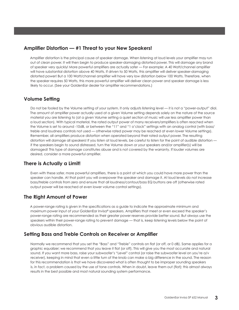#### **Amplifier Distortion — #1 Threat to your New Speakers!**

Amplifier distortion is the principal cause of speaker damage. When listening at loud levels your amplifier may run out of clean power. It will then begin to produce speaker-damaging distorted power. This will damage any brand of speaker very quickly! More powerful amplifiers are actually safer — For example: A 40 Watt/channel amplifier will have substantial distortion above 40 Watts. If driven to 50 Watts, this amplifier will deliver speaker-damaging distorted power! But a 100 Watt/channel amplifier will have very low distortion below 100 Watts. Therefore, when the speaker requires 50 Watts, this more powerful amplifier will deliver clean power and speaker damage is less likely to occur. (See your GoldenEar dealer for amplifier recommendations.)

#### **Volume Setting**

Do not be fooled by the Volume setting of your system. It only adjusts listening level — it is not a "power-output" dial. The amount of amplifier power actually used at a given Volume setting depends solely on the nature of the source material you are listening to (at a given Volume setting a quiet section of music will use less amplifier power than a loud section). With typical material, the rated output power of many receivers/amplifiers is often reached when the Volume is set to around -10dB, or between the "11" and "1 o'clock" settings with an analog control (with bass/ treble and loudness controls not used — otherwise rated power may be reached at even lower Volume settings). Remember, all amplifiers produce distortion when operated beyond their rated output power. The resulting distortion will damage all speakers! If you listen at loud levels, be careful to listen for the point of audible distortion if the speakers begin to sound distressed, turn the Volume down or your speakers and/or amplifier(s) will be damaged! This type of damage constitutes abuse and is not covered by the warranty. If louder volumes are desired, consider a more powerful amplifier.

#### **There is Actually a Limit!**

Even with these safer, more powerful amplifiers, there is a point at which you could have more power than the speaker can handle. At that point you will overpower the speaker and damage it. At loud levels do not increase bass/treble controls from zero and ensure that all loudness/contour/bass EQ buttons are off (otherwise rated output power will be reached at even lower volume control settings).

#### **The Right Amount of Power**

A power-range rating is given in the specifications as a guide to indicate the approximate minimum and maximum power input of your GoldenEar Invisa® speakers. Amplifiers that meet or even exceed the speaker's power-range rating are recommended as their greater power reserves provide better sound. But always use the speakers within their power-range rating to prevent damage — that is, keep listening levels below the point of obvious audible distortion.

#### **Setting Bass and Treble Controls on Receiver or Amplifier**

Normally we recommend that you set the "Bass" and "Treble" controls on flat (or off, or 0 dB). Same applies for a graphic equalizer; we recommend that you leave it flat (or off). This will give you the most accurate and natural sound. If you want more bass, raise your subwoofer's "Level" control (or raise the subwoofer level on you're a/v receiver), keeping in mind that even a little turn of the knob can make a big difference in the sound. The reason for this recommendation is that we have discovered what is often thought to be improper sounding speakers is, in fact, a problem caused by the use of tone controls. When in doubt, leave them out (flat); this almost always results in the best possible and most natural sounding system performance.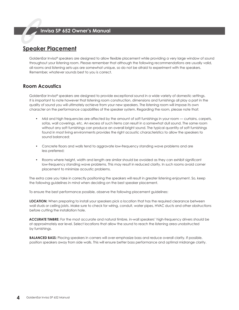# **Speaker Placement**

GoldenEar Invisa® speakers are designed to allow flexible placement while providing a very large window of sound throughout your listening room. Please remember that although the following recommendations are usually valid, all rooms and listening sets-ups are somewhat unique, so do not be afraid to experiment with the speakers. Remember, whatever sounds best to you is correct.

#### **Room Acoustics**

GoldenEar Invisa® speakers are designed to provide exceptional sound in a wide variety of domestic settings. It is important to note however that listening room construction, dimensions and furnishings all play a part in the quality of sound you will ultimately achieve from your new speakers. The listening room will impose its own character on the performance capabilities of the speaker system. Regarding the room, please note that:

- Mid and high frequencies are affected by the amount of soft furnishings in your room curtains, carpets, sofas, wall coverings, etc. An excess of such items can result in a somewhat dull sound. The same room without any soft furnishings can produce an overall bright sound. The typical quantity of soft furnishings found in most living environments provides the right acoustic characteristics to allow the speakers to sound balanced;
- Concrete floors and walls tend to aggravate low-frequency standing wave problems and are less preferred;
- Rooms where height, width and length are similar should be avoided as they can exhibit significant low-frequency standing wave problems. This may result in reduced clarity. In such rooms avoid corner placement to minimize acoustic problems.

The extra care you take in correctly positioning the speakers will result in greater listening enjoyment. So, keep the following guidelines in mind when deciding on the best speaker placement.

To ensure the best performance possible, observe the following placement guidelines:

**LOCATION:** When preparing to install your speakers pick a location that has the required clearance between wall studs or ceiling joists. Make sure to check for wiring, conduit, water pipes, HVAC ducts and other obstructions before cutting the installation hole.

**ACCURATE TIMBRE:** For the most accurate and natural timbre, in-wall speakers' high-frequency drivers should be at approximately ear level. Select locations that allow the sound to reach the listening area unobstructed by furnishings.

**BALANCED BASS:** Placing speakers in corners will over-emphasize bass and reduce overall clarity. If possible, position speakers away from side walls. This will ensure better bass performance and optimal midrange clarity.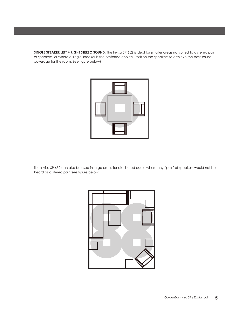**SINGLE SPEAKER LEFT + RIGHT STEREO SOUND:** The Invisa SP 652 is ideal for smaller areas not suited to a stereo pair of speakers, or where a single speaker is the preferred choice. Position the speakers to achieve the best sound coverage for the room. See figure below)



The Invisa SP 652 can also be used in large areas for distributed audio where any "pair" of speakers would not be heard as a stereo pair (see figure below).

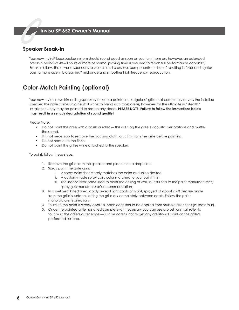#### **Speaker Break-in**

Your new Invisa® loudspeaker system should sound good as soon as you turn them on; however, an extended break-in period of 40-60 hours or more of normal playing time is required to reach full performance capability. Break-in allows the driver suspensions to work-in and crossover components to "heal," resulting in fuller and tighter bass, a more open "blossoming" midrange and smoother high frequency reproduction.

# **Color-Match Painting (optional)**

Your new Invisa in-wall/in-ceiling speakers include a paintable "edgeless" grille that completely covers the installed speaker. The grille comes in a neutral white to blend with most areas, however, for the ultimate in "stealth" installation, they may be painted to match any decor. **PLEASE NOTE: Failure to follow the instructions below may result in a serious degradation of sound quality!**

Please Note:

- Do not paint the grille with a brush or roller this will clog the grille's acoustic perforations and muffle the sound.
- It is not necessary to remove the backing cloth, or scrim, from the grille before painting.
- Do not heat cure the finish.
- Do not paint the grilles while attached to the speaker.

To paint, follow these steps:

- 1. Remove the grille from the speaker and place it on a drop cloth
- 2. Spray paint the grille using:
	- i. A spray paint that closely matches the color and shine desired
	- ii. A custom-made spray can, color matched to your paint finish
	- iii. The indoor latex paint used to paint the ceiling or wall, but diluted to the paint manufacturer's/ spray gun manufacturer's recommendations
- 3. In a well ventilated area, apply several light coats of paint, sprayed at about a 60 degree angle from the grille's surface, letting the grille dry completely between coats. Follow the paint manufacturer's directions.
- 4. To insure the paint is evenly applied, each coat should be applied from multiple directions (at least four).
- 5. Once the painted grille has dried completely, if necessary you can use a brush or small roller to touch-up the grille's outer edge — just be careful not to get any additional paint on the grille's perforated surface.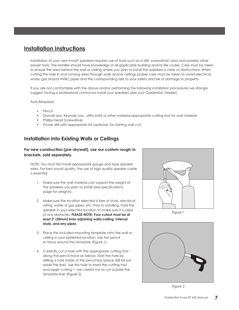# **Installation Instructions**

Installation of your new Invisa® speakers requires use of tools such as a drill, screwdriver, saws and possibly other power tools. The installer should have knowledge of all applicable building and/or fire codes. Care must be taken to ensure the area behind the wall or ceiling where you plan to install the speakers is clear of obstructions. When cutting the hole in and running wires through walls and/or ceilings proper care must be taken to avoid electrical, water, gas and/or HVAC pipes and the corresponding risks to your safety and risk of damage to property.

If you are not comfortable with the above and/or performing the following installation procedures we strongly suggest having a professional contractor install your speakers (see your GoldenEar Dealer).

Tools Required:

- Pencil
- Drywall saw, Keyhole saw, utility knife or other material-appropriate cutting tool for wall material
- Phillips Head Screwdriver
- Power drill with appropriate bit (optional, for starting wall cut)

#### **Installation Into Existing Walls or Ceilings**

#### **For new construction (pre-drywall), use our custom rough-in brackets, sold separately.**

NOTE: You must first install appropriate gauge and type speaker wires. For best sound quality, the use of high quality speaker cable is essential.

- 1. Make sure the wall material can support the weight of the speakers you plan to install (see specifications page for weights).
- 2. Make sure the location selected is free of studs, electrical wiring, water or gas pipes, etc. Prior to installing, hold the speaker in your selected location to make sure it is clear of any obstacles. **PLEASE NOTE: Your cutout must be at least 2" (50mm) from adjoining walls/ceiling, internal studs, and any pipes.**
- 3. Place the included mounting template onto the wall or ceiling in your preferred location. Use the pencil to trace around the template (Figure 1).
- 4. Carefully cut a hole with the appropriate cutting tool along the pencil trace as follows: Start the hole by drilling a hole inside of the pencil line (place drill bit just inside the line). Use this hole to insert the cutting tool and begin cutting — be careful not to cut outside the template line! (Figure 2).







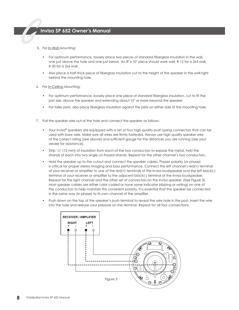- 5. For <u>In-Wall</u> Mounting:
	- For optimum performance, loosely place two pieces of standard fiberglass insulation in the wall, one just above the hole and one just below. An 8" x 10" piece should work well, R-12 for a 2x4 wall, R-20 for a 2x6 wall.
	- Also place a half-thick piece of fiberglass insulation cut to the height of the speaker in the wall right behind the mounting hole.
- 6. For In-Ceiling Mounting:
	- For optimum performance, loosely place one piece of standard fiberglass insulation, cut to fit the joist size, above the speaker and extending about 15" or more beyond the speaker;
	- For taller joists, also place fiberglass insulation against the joists on either side of the mounting hole.
- 7. Pull the speaker wire out of the hole and connect the speaker as follows:
	- Your Invisa® speakers are equipped with a set of four high-quality push spring connectors that can be used with bare wire. Make sure all wires are firmly fastened. Always use high quality speaker wire of the correct rating (see above) and sufficient gauge for the distances you are running (see your dealer for assistance).
	- Strip  $1/2$ " (12 mm) of insulation from each of the two conductors to expose the metal, twist the strands of each into two single un-frayed strands. Repeat for the other channel's two conductors..
	- Hold the speaker up to the cutout and connect the speaker cables. Proper polarity (or phase) is critical for proper stereo imaging and bass performance. Connect the left channel's red(+) terminal of your receiver or amplifier to one of the red(+) terminals of the Invisa loudspeaker and the left black(-) terminal of your receiver or amplifier to the adjacent black(-) terminal of the Invisa loudspeaker. Repeat for the right channel and the other set of convectors on the Invisa speaker. (See Figure 3). Most speaker cables are either color coded or have some indicator (ribbing or writing) on one of the conductors to help maintain this consistent polarity. It is essential that the speaker be connected in the same way (in phase) to its own channel of the amplifier.
	- Push down on the top of the speaker's push terminal to reveal the wire hole in the post. Insert the wire into the hole and release your pressure on the terminal. Repeat for all four connections.

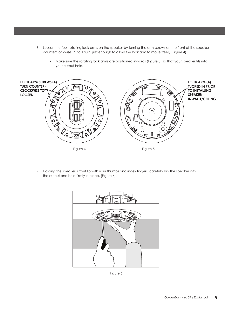- 8. Loosen the four rotating lock arms on the speaker by turning the arm screws on the front of the speaker counterclockwise  $\frac{1}{2}$  to 1 turn, just enough to allow the lock arm to move freely (Figure 4).
	- Make sure the rotating lock arms are positioned inwards (Figure 5) so that your speaker fits into your cutout hole.



9. Holding the speaker's front lip with your thumbs and index fingers, carefully slip the speaker into the cutout and hold firmly in place. (Figure 6).



Figure 6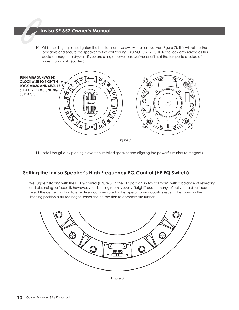10. While holding in place, tighten the four lock arm screws with a screwdriver (Figure 7). This will rotate the lock arms and secure the speaker to the wall/ceiling. DO NOT OVERTIGHTEN the lock arm screws as this could damage the drywall. If you are using a power screwdriver or drill, set the torque to a value of no more than 7 in.-lb (8dN-m).



11. Install the grille by placing it over the installed speaker and aligning the powerful miniature magnets.

#### **Setting the Invisa Speaker's High Frequency EQ Control (HF EQ Switch)**

We suggest starting with the HF EQ control (Figure 8) in the "+" position, in typical rooms with a balance of reflecting and absorbing surfaces. If, however, your listening room is overly "bright" due to many reflective, hard surfaces, select the center position to effectively compensate for this type of room acoustics issue. If the sound in the listening position is still too bright, select the "-" position to compensate further.



Figure 8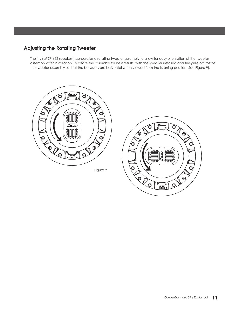## **Adjusting the Rotating Tweeter**

The Invisa® SP 652 speaker incorporates a rotating tweeter assembly to allow for easy orientation of the tweeter assembly after installation. To rotate the assembly for best results: With the speaker installed and the grille off, rotate the tweeter assembly so that the bars/slots are horizontal when viewed from the listening position (See Figure 9).



Figure 9

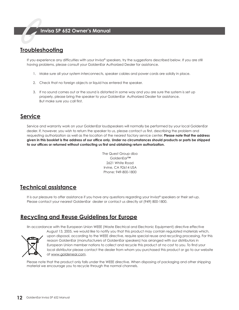# **Troubleshooting**

If you experience any difficulties with your Invisa® speakers, try the suggestions described below. If you are still having problems, please consult your GoldenEar Authorized Dealer for assistance.

- 1. Make sure all your system interconnects, speaker cables and power cords are solidly in place.
- 2. Check that no foreign objects or liquid has entered the speaker.
- 3. If no sound comes out or the sound is distorted in some way and you are sure the system is set up properly, please bring the speaker to your GoldenEar Authorized Dealer for assistance. But make sure you call first.

# **Service**

Service and warranty work on your GoldenEar loudspeakers will normally be performed by your local GoldenEar dealer. If, however, you wish to return the speaker to us, please contact us first, describing the problem and requesting authorization as well as the location of the nearest factory service center. **Please note that the address given in this booklet is the address of our office only. Under no circumstances should products or parts be shipped to our offices or returned without contacting us first and obtaining return authorization.**

> The Quest Group dba GoldenEar™ 2621 White Road Irvine, CA 92614 USA Phone: 949-800-1800

# **Technical assistance**

It is our pleasure to offer assistance if you have any questions regarding your Invisa® speakers or their set-up. Please contact your nearest GoldenEar dealer or contact us directly at (949) 800-1800.

# **Recycling and Reuse Guidelines for Europe**

IIn accordance with the European Union WEEE (Waste Electrical and Electronic Equipment) directive effective August 13, 2005, we would like to notify you that this product may contain regulated materials which, upon disposal, according to the WEEE directive, require special reuse and recycling processing. For this reason GoldenEar (manufacturers of GoldenEar speakers) has arranged with our distributors in European Union member nations to collect and recycle this product at no cost to you. To find your local distributor please contact the dealer from whom you purchased this product or go to our website at www.goldenear.com.

 Please note that the product only falls under the WEEE directive. When disposing of packaging and other shipping material we encourage you to recycle through the normal channels.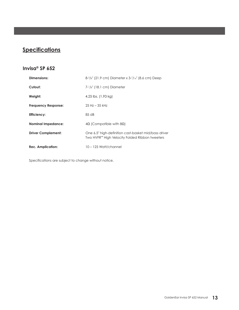# **Specifications**

# **Invisa® SP 652**

| <b>Dimensions:</b>         | 8-5/ <sub>8</sub> " (21.9 cm) Diameter x 3-7/16" (8.6 cm) Deep                                         |
|----------------------------|--------------------------------------------------------------------------------------------------------|
| Cutout:                    | $7 - \frac{1}{8}$ (18.1 cm) Diameter                                                                   |
| Weight:                    | 4.25 lbs. (1.93 kg)                                                                                    |
| <b>Frequency Response:</b> | $25 Hz - 35 kHz$                                                                                       |
| Efficiency:                | 85 dB                                                                                                  |
| <b>Nominal Impedance:</b>  | $4\Omega$ (Compatible with 8 $\Omega$ )                                                                |
| <b>Driver Complement:</b>  | One 6.5" high-definition cast-basket mid/bass driver<br>Two HVFR™ High Velocity Folded Ribbon tweeters |
| <b>Rec. Amplication:</b>   | 10 – 125 Watt/channel                                                                                  |

Specifications are subject to change without notice.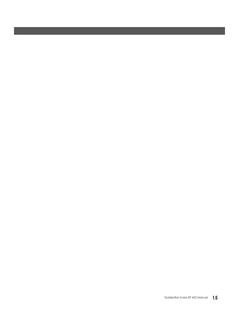GoldenEar Invisa SP 652 Manual **15**